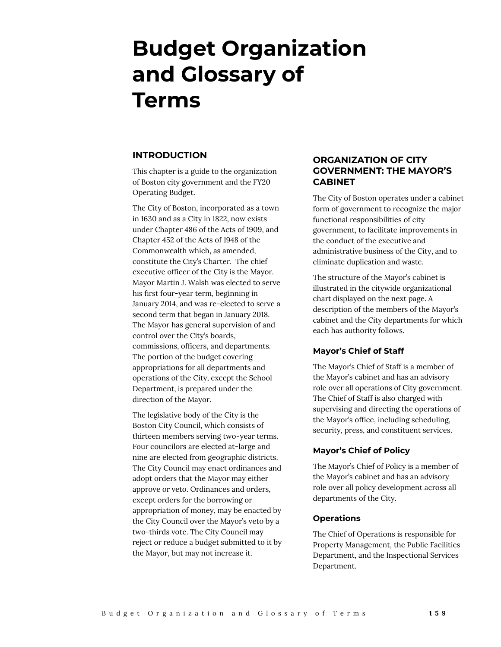# **Budget Organization and Glossary of Terms**

## **INTRODUCTION**

This chapter is a guide to the organization of Boston city government and the FY20 Operating Budget.

The City of Boston, incorporated as a town in 1630 and as a City in 1822, now exists under Chapter 486 of the Acts of 1909, and Chapter 452 of the Acts of 1948 of the Commonwealth which, as amended, constitute the City's Charter. The chief executive officer of the City is the Mayor. Mayor Martin J. Walsh was elected to serve his first four-year term, beginning in January 2014, and was re-elected to serve a second term that began in January 2018. The Mayor has general supervision of and control over the City's boards, commissions, officers, and departments. The portion of the budget covering appropriations for all departments and operations of the City, except the School Department, is prepared under the direction of the Mayor.

The legislative body of the City is the Boston City Council, which consists of thirteen members serving two-year terms. Four councilors are elected at-large and nine are elected from geographic districts. The City Council may enact ordinances and adopt orders that the Mayor may either approve or veto. Ordinances and orders, except orders for the borrowing or appropriation of money, may be enacted by the City Council over the Mayor's veto by a two-thirds vote. The City Council may reject or reduce a budget submitted to it by the Mayor, but may not increase it.

## **ORGANIZATION OF CITY GOVERNMENT: THE MAYOR'S CABINET**

The City of Boston operates under a cabinet form of government to recognize the major functional responsibilities of city government, to facilitate improvements in the conduct of the executive and administrative business of the City, and to eliminate duplication and waste.

The structure of the Mayor's cabinet is illustrated in the citywide organizational chart displayed on the next page. A description of the members of the Mayor's cabinet and the City departments for which each has authority follows.

## **Mayor's Chief of Staff**

The Mayor's Chief of Staff is a member of the Mayor's cabinet and has an advisory role over all operations of City government. The Chief of Staff is also charged with supervising and directing the operations of the Mayor's office, including scheduling, security, press, and constituent services.

## **Mayor's Chief of Policy**

The Mayor's Chief of Policy is a member of the Mayor's cabinet and has an advisory role over all policy development across all departments of the City.

## **Operations**

The Chief of Operations is responsible for Property Management, the Public Facilities Department, and the Inspectional Services Department.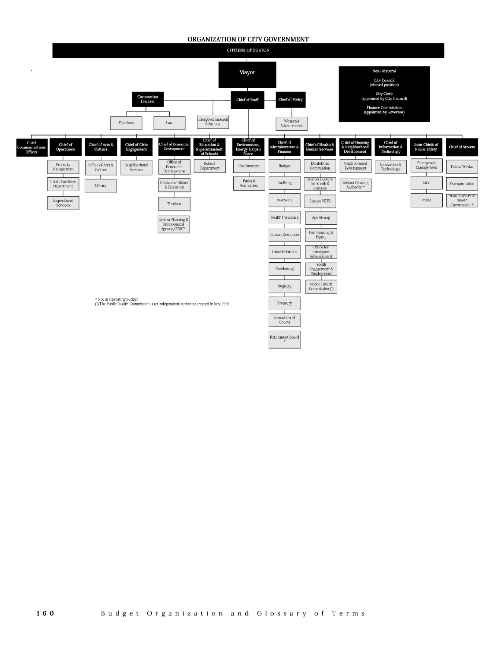#### ORGANIZATION OF CITY GOVERNMENT

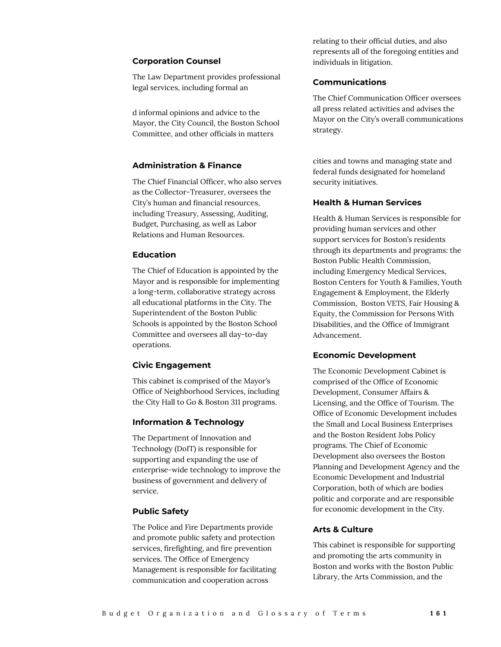#### **Corporation Counsel**

The Law Department provides professional legal services, including formal an

d informal opinions and advice to the Mayor, the City Council, the Boston School Committee, and other officials in matters

#### **Administration & Finance**

The Chief Financial Officer, who also serves as the Collector-Treasurer, oversees the City's human and financial resources, including Treasury, Assessing, Auditing, Budget, Purchasing, as well as Labor Relations and Human Resources.

#### **Education**

The Chief of Education is appointed by the Mayor and is responsible for implementing a long-term, collaborative strategy across all educational platforms in the City. The Superintendent of the Boston Public Schools is appointed by the Boston School Committee and oversees all day-to-day operations.

#### **Civic Engagement**

This cabinet is comprised of the Mayor's Office of Neighborhood Services, including the City Hall to Go & Boston 311 programs.

#### **Information & Technology**

The Department of Innovation and Technology (DoIT) is responsible for supporting and expanding the use of enterprise-wide technology to improve the business of government and delivery of service.

#### **Public Safety**

The Police and Fire Departments provide and promote public safety and protection services, firefighting, and fire prevention services. The Office of Emergency Management is responsible for facilitating communication and cooperation across

relating to their official duties, and also represents all of the foregoing entities and individuals in litigation.

#### **Communications**

The Chief Communication Officer oversees all press related activities and advises the Mayor on the City's overall communications strategy.

cities and towns and managing state and federal funds designated for homeland security initiatives.

#### **Health & Human Services**

Health & Human Services is responsible for providing human services and other support services for Boston's residents through its departments and programs: the Boston Public Health Commission, including Emergency Medical Services, Boston Centers for Youth & Families, Youth Engagement & Employment, the Elderly Commission, Boston VETS, Fair Housing & Equity, the Commission for Persons With Disabilities, and the Office of Immigrant Advancement.

#### **Economic Development**

The Economic Development Cabinet is comprised of the Office of Economic Development, Consumer Affairs & Licensing, and the Office of Tourism. The Office of Economic Development includes the Small and Local Business Enterprises and the Boston Resident Jobs Policy programs. The Chief of Economic Development also oversees the Boston Planning and Development Agency and the Economic Development and Industrial Corporation, both of which are bodies politic and corporate and are responsible for economic development in the City.

#### **Arts & Culture**

This cabinet is responsible for supporting and promoting the arts community in Boston and works with the Boston Public Library, the Arts Commission, and the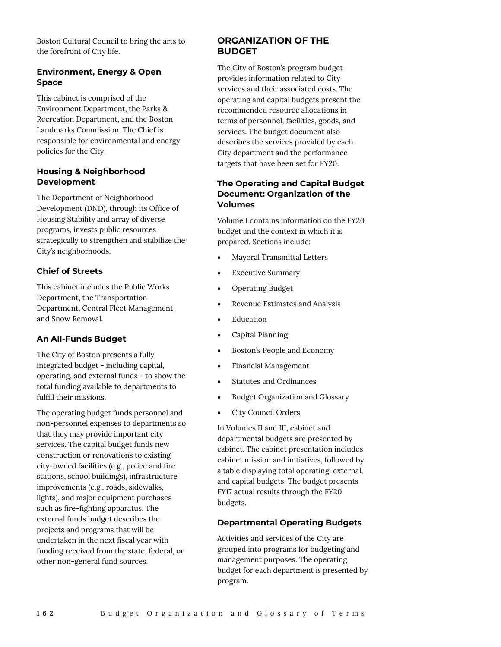Boston Cultural Council to bring the arts to the forefront of City life.

## **Environment, Energy & Open Space**

This cabinet is comprised of the Environment Department, the Parks & Recreation Department, and the Boston Landmarks Commission. The Chief is responsible for environmental and energy policies for the City.

## **Housing & Neighborhood Development**

The Department of Neighborhood Development (DND), through its Office of Housing Stability and array of diverse programs, invests public resources strategically to strengthen and stabilize the City's neighborhoods.

## **Chief of Streets**

This cabinet includes the Public Works Department, the Transportation Department, Central Fleet Management, and Snow Removal.

## **An All-Funds Budget**

The City of Boston presents a fully integrated budget - including capital, operating, and external funds - to show the total funding available to departments to fulfill their missions.

The operating budget funds personnel and non-personnel expenses to departments so that they may provide important city services. The capital budget funds new construction or renovations to existing city-owned facilities (e.g., police and fire stations, school buildings), infrastructure improvements (e.g., roads, sidewalks, lights), and major equipment purchases such as fire-fighting apparatus. The external funds budget describes the projects and programs that will be undertaken in the next fiscal year with funding received from the state, federal, or other non-general fund sources.

## **ORGANIZATION OF THE BUDGET**

The City of Boston's program budget provides information related to City services and their associated costs. The operating and capital budgets present the recommended resource allocations in terms of personnel, facilities, goods, and services. The budget document also describes the services provided by each City department and the performance targets that have been set for FY20.

## **The Operating and Capital Budget Document: Organization of the Volumes**

Volume I contains information on the FY20 budget and the context in which it is prepared. Sections include:

- Mayoral Transmittal Letters
- Executive Summary
- Operating Budget
- Revenue Estimates and Analysis
- Education
- Capital Planning
- Boston's People and Economy
- Financial Management
- Statutes and Ordinances
- Budget Organization and Glossary
- City Council Orders

In Volumes II and III, cabinet and departmental budgets are presented by cabinet. The cabinet presentation includes cabinet mission and initiatives, followed by a table displaying total operating, external, and capital budgets. The budget presents FY17 actual results through the FY20 budgets.

## **Departmental Operating Budgets**

Activities and services of the City are grouped into programs for budgeting and management purposes. The operating budget for each department is presented by program.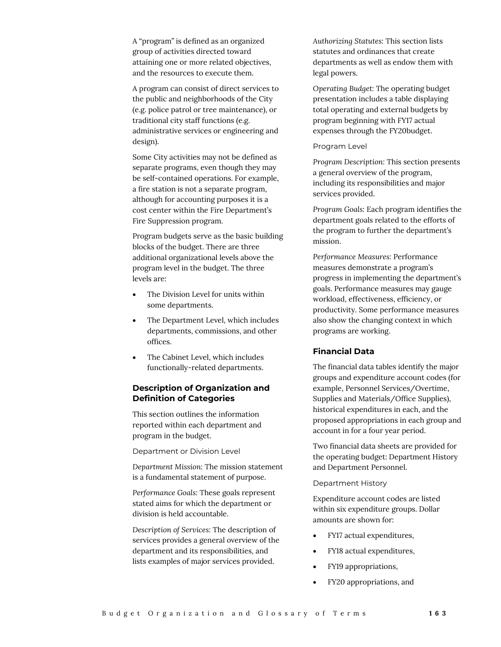A "program" is defined as an organized group of activities directed toward attaining one or more related objectives, and the resources to execute them.

A program can consist of direct services to the public and neighborhoods of the City (e.g. police patrol or tree maintenance), or traditional city staff functions (e.g. administrative services or engineering and design).

Some City activities may not be defined as separate programs, even though they may be self-contained operations. For example, a fire station is not a separate program, although for accounting purposes it is a cost center within the Fire Department's Fire Suppression program.

Program budgets serve as the basic building blocks of the budget. There are three additional organizational levels above the program level in the budget. The three levels are:

- The Division Level for units within some departments.
- The Department Level, which includes departments, commissions, and other offices.
- The Cabinet Level, which includes functionally-related departments.

## **Description of Organization and Definition of Categories**

This section outlines the information reported within each department and program in the budget.

Department or Division Level

*Department Mission:* The mission statement is a fundamental statement of purpose.

*Performance Goals:* These goals represent stated aims for which the department or division is held accountable.

*Description of Services:* The description of services provides a general overview of the department and its responsibilities, and lists examples of major services provided.

*Authorizing Statutes:* This section lists statutes and ordinances that create departments as well as endow them with legal powers.

*Operating Budget:* The operating budget presentation includes a table displaying total operating and external budgets by program beginning with FY17 actual expenses through the FY20budget.

#### Program Level

*Program Description:* This section presents a general overview of the program, including its responsibilities and major services provided.

*Program Goals:* Each program identifies the department goals related to the efforts of the program to further the department's mission.

*Performance Measures:* Performance measures demonstrate a program's progress in implementing the department's goals. Performance measures may gauge workload, effectiveness, efficiency, or productivity. Some performance measures also show the changing context in which programs are working.

#### **Financial Data**

The financial data tables identify the major groups and expenditure account codes (for example, Personnel Services/Overtime, Supplies and Materials/Office Supplies), historical expenditures in each, and the proposed appropriations in each group and account in for a four year period.

Two financial data sheets are provided for the operating budget: Department History and Department Personnel.

#### Department History

Expenditure account codes are listed within six expenditure groups. Dollar amounts are shown for:

- FY17 actual expenditures,
- FY18 actual expenditures,
- FY19 appropriations,
- FY20 appropriations, and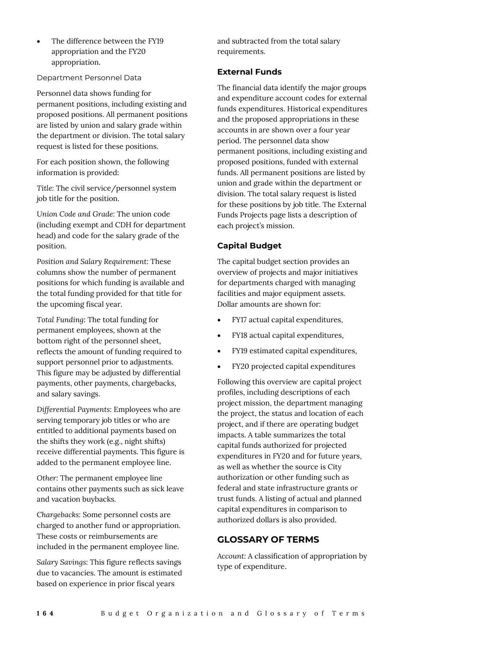The difference between the FY19 appropriation and the FY20 appropriation.

Department Personnel Data

Personnel data shows funding for permanent positions, including existing and proposed positions. All permanent positions are listed by union and salary grade within the department or division. The total salary request is listed for these positions.

For each position shown, the following information is provided:

*Title:* The civil service/personnel system job title for the position.

*Union Code and Grade:* The union code (including exempt and CDH for department head) and code for the salary grade of the position.

*Position and Salary Requirement:* These columns show the number of permanent positions for which funding is available and the total funding provided for that title for the upcoming fiscal year.

*Total Funding:* The total funding for permanent employees, shown at the bottom right of the personnel sheet, reflects the amount of funding required to support personnel prior to adjustments. This figure may be adjusted by differential payments, other payments, chargebacks, and salary savings.

*Differential Payments:* Employees who are serving temporary job titles or who are entitled to additional payments based on the shifts they work (e.g., night shifts) receive differential payments. This figure is added to the permanent employee line.

*Other:* The permanent employee line contains other payments such as sick leave and vacation buybacks.

*Chargebacks:* Some personnel costs are charged to another fund or appropriation. These costs or reimbursements are included in the permanent employee line.

*Salary Savings:* This figure reflects savings due to vacancies. The amount is estimated based on experience in prior fiscal years

and subtracted from the total salary requirements.

#### **External Funds**

The financial data identify the major groups and expenditure account codes for external funds expenditures. Historical expenditures and the proposed appropriations in these accounts in are shown over a four year period. The personnel data show permanent positions, including existing and proposed positions, funded with external funds. All permanent positions are listed by union and grade within the department or division. The total salary request is listed for these positions by job title. The External Funds Projects page lists a description of each project's mission.

## **Capital Budget**

The capital budget section provides an overview of projects and major initiatives for departments charged with managing facilities and major equipment assets. Dollar amounts are shown for:

- FY17 actual capital expenditures,
- FY18 actual capital expenditures,
- FY19 estimated capital expenditures,
- FY20 projected capital expenditures

Following this overview are capital project profiles, including descriptions of each project mission, the department managing the project, the status and location of each project, and if there are operating budget impacts. A table summarizes the total capital funds authorized for projected expenditures in FY20 and for future years, as well as whether the source is City authorization or other funding such as federal and state infrastructure grants or trust funds. A listing of actual and planned capital expenditures in comparison to authorized dollars is also provided.

## **GLOSSARY OF TERMS**

*Account:* A classification of appropriation by type of expenditure.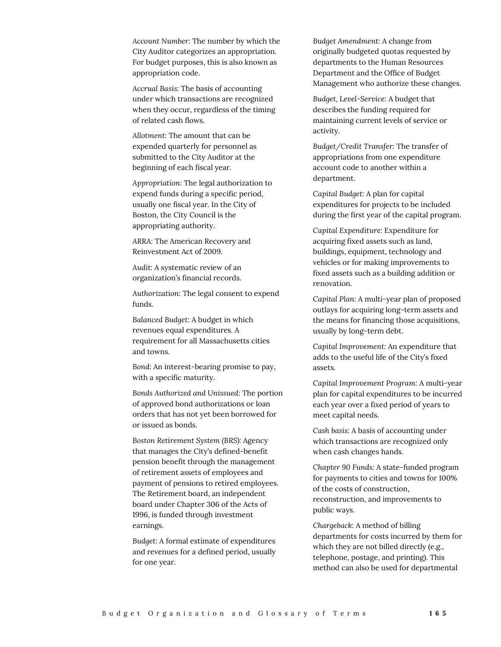*Account Number:* The number by which the City Auditor categorizes an appropriation. For budget purposes, this is also known as appropriation code.

*Accrual Basis:* The basis of accounting under which transactions are recognized when they occur, regardless of the timing of related cash flows.

*Allotment:* The amount that can be expended quarterly for personnel as submitted to the City Auditor at the beginning of each fiscal year.

*Appropriation:* The legal authorization to expend funds during a specific period, usually one fiscal year. In the City of Boston, the City Council is the appropriating authority.

*ARRA:* The American Recovery and Reinvestment Act of 2009.

*Audit:* A systematic review of an organization's financial records.

*Authorization:* The legal consent to expend funds.

*Balanced Budget:* A budget in which revenues equal expenditures. A requirement for all Massachusetts cities and towns.

*Bond:* An interest-bearing promise to pay, with a specific maturity.

*Bonds Authorized and Unissued:* The portion of approved bond authorizations or loan orders that has not yet been borrowed for or issued as bonds.

*Boston Retirement System (BRS):* Agency that manages the City's defined-benefit pension benefit through the management of retirement assets of employees and payment of pensions to retired employees. The Retirement board, an independent board under Chapter 306 of the Acts of 1996, is funded through investment earnings.

*Budget:* A formal estimate of expenditures and revenues for a defined period, usually for one year.

*Budget Amendment:* A change from originally budgeted quotas requested by departments to the Human Resources Department and the Office of Budget Management who authorize these changes.

*Budget, Level-Service:* A budget that describes the funding required for maintaining current levels of service or activity.

*Budget/Credit Transfer:* The transfer of appropriations from one expenditure account code to another within a department.

*Capital Budget:* A plan for capital expenditures for projects to be included during the first year of the capital program.

*Capital Expenditure:* Expenditure for acquiring fixed assets such as land, buildings, equipment, technology and vehicles or for making improvements to fixed assets such as a building addition or renovation.

*Capital Plan:* A multi-year plan of proposed outlays for acquiring long-term assets and the means for financing those acquisitions, usually by long-term debt.

*Capital Improvement:* An expenditure that adds to the useful life of the City's fixed assets.

*Capital Improvement Program:* A multi-year plan for capital expenditures to be incurred each year over a fixed period of years to meet capital needs.

*Cash basis:* A basis of accounting under which transactions are recognized only when cash changes hands.

*Chapter 90 Funds:* A state-funded program for payments to cities and towns for 100% of the costs of construction, reconstruction, and improvements to public ways.

*Chargeback:* A method of billing departments for costs incurred by them for which they are not billed directly (e.g., telephone, postage, and printing). This method can also be used for departmental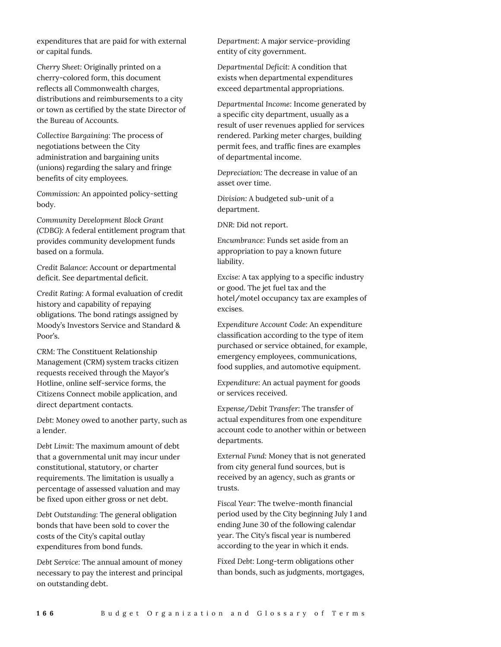expenditures that are paid for with external or capital funds.

*Cherry Sheet:* Originally printed on a cherry-colored form, this document reflects all Commonwealth charges, distributions and reimbursements to a city or town as certified by the state Director of the Bureau of Accounts.

*Collective Bargaining:* The process of negotiations between the City administration and bargaining units (unions) regarding the salary and fringe benefits of city employees.

*Commission:* An appointed policy-setting body.

*Community Development Block Grant (CDBG):* A federal entitlement program that provides community development funds based on a formula.

*Credit Balance:* Account or departmental deficit. See departmental deficit.

*Credit Rating:* A formal evaluation of credit history and capability of repaying obligations. The bond ratings assigned by Moody's Investors Service and Standard & Poor's.

*CRM:* The Constituent Relationship Management (CRM) system tracks citizen requests received through the Mayor's Hotline, online self-service forms, the Citizens Connect mobile application, and direct department contacts.

*Debt:* Money owed to another party, such as a lender.

*Debt Limit:* The maximum amount of debt that a governmental unit may incur under constitutional, statutory, or charter requirements. The limitation is usually a percentage of assessed valuation and may be fixed upon either gross or net debt.

*Debt Outstanding:* The general obligation bonds that have been sold to cover the costs of the City's capital outlay expenditures from bond funds.

*Debt Service:* The annual amount of money necessary to pay the interest and principal on outstanding debt.

*Department:* A major service-providing entity of city government.

*Departmental Deficit:* A condition that exists when departmental expenditures exceed departmental appropriations.

*Departmental Income:* Income generated by a specific city department, usually as a result of user revenues applied for services rendered. Parking meter charges, building permit fees, and traffic fines are examples of departmental income.

*Depreciation:* The decrease in value of an asset over time.

*Division:* A budgeted sub-unit of a department.

*DNR:* Did not report.

*Encumbrance:* Funds set aside from an appropriation to pay a known future liability.

*Excise:* A tax applying to a specific industry or good. The jet fuel tax and the hotel/motel occupancy tax are examples of excises.

*Expenditure Account Code:* An expenditure classification according to the type of item purchased or service obtained, for example, emergency employees, communications, food supplies, and automotive equipment.

*Expenditure:* An actual payment for goods or services received.

*Expense/Debit Transfer:* The transfer of actual expenditures from one expenditure account code to another within or between departments.

*External Fund:* Money that is not generated from city general fund sources, but is received by an agency, such as grants or trusts.

*Fiscal Year:* The twelve-month financial period used by the City beginning July 1 and ending June 30 of the following calendar year. The City's fiscal year is numbered according to the year in which it ends.

*Fixed Debt:* Long-term obligations other than bonds, such as judgments, mortgages,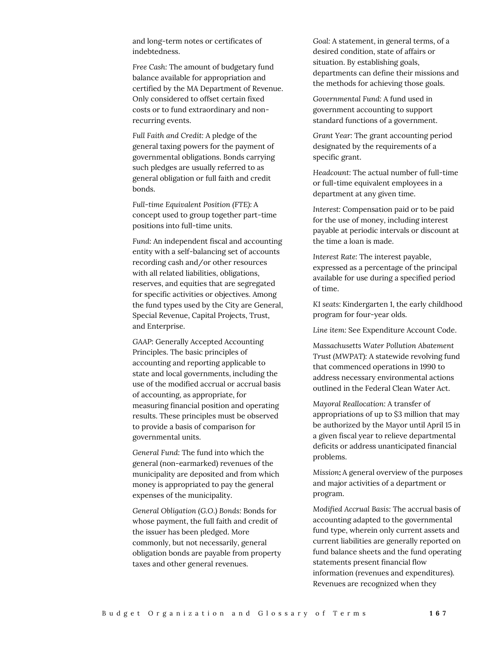and long-term notes or certificates of indebtedness.

*Free Cash:* The amount of budgetary fund balance available for appropriation and certified by the MA Department of Revenue. Only considered to offset certain fixed costs or to fund extraordinary and nonrecurring events.

*Full Faith and Credit:* A pledge of the general taxing powers for the payment of governmental obligations. Bonds carrying such pledges are usually referred to as general obligation or full faith and credit bonds.

*Full-time Equivalent Position (FTE):* A concept used to group together part-time positions into full-time units.

*Fund:* An independent fiscal and accounting entity with a self-balancing set of accounts recording cash and/or other resources with all related liabilities, obligations, reserves, and equities that are segregated for specific activities or objectives. Among the fund types used by the City are General, Special Revenue, Capital Projects, Trust, and Enterprise.

*GAAP:* Generally Accepted Accounting Principles. The basic principles of accounting and reporting applicable to state and local governments, including the use of the modified accrual or accrual basis of accounting, as appropriate, for measuring financial position and operating results. These principles must be observed to provide a basis of comparison for governmental units.

*General Fund:* The fund into which the general (non-earmarked) revenues of the municipality are deposited and from which money is appropriated to pay the general expenses of the municipality.

*General Obligation (G.O.) Bonds:* Bonds for whose payment, the full faith and credit of the issuer has been pledged. More commonly, but not necessarily, general obligation bonds are payable from property taxes and other general revenues.

*Goal:* A statement, in general terms, of a desired condition, state of affairs or situation. By establishing goals, departments can define their missions and the methods for achieving those goals.

*Governmental Fund:* A fund used in government accounting to support standard functions of a government.

*Grant Year:* The grant accounting period designated by the requirements of a specific grant.

*Headcount:* The actual number of full-time or full-time equivalent employees in a department at any given time.

*Interest:* Compensation paid or to be paid for the use of money, including interest payable at periodic intervals or discount at the time a loan is made.

*Interest Rate:* The interest payable, expressed as a percentage of the principal available for use during a specified period of time.

*K1 seats:* Kindergarten 1, the early childhood program for four-year olds.

*Line item:* See Expenditure Account Code.

*Massachusetts Water Pollution Abatement Trust (MWPAT):* A statewide revolving fund that commenced operations in 1990 to address necessary environmental actions outlined in the Federal Clean Water Act.

*Mayoral Reallocation:* A transfer of appropriations of up to \$3 million that may be authorized by the Mayor until April 15 in a given fiscal year to relieve departmental deficits or address unanticipated financial problems.

*Mission: A general overview of the purposes* and major activities of a department or program.

*Modified Accrual Basis:* The accrual basis of accounting adapted to the governmental fund type, wherein only current assets and current liabilities are generally reported on fund balance sheets and the fund operating statements present financial flow information (revenues and expenditures). Revenues are recognized when they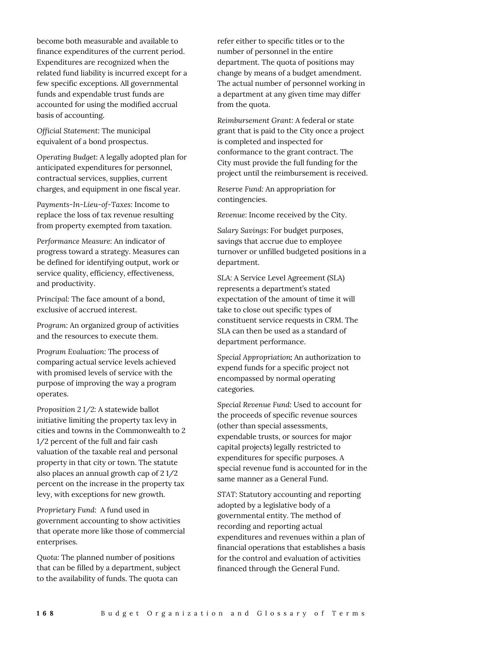become both measurable and available to finance expenditures of the current period. Expenditures are recognized when the related fund liability is incurred except for a few specific exceptions. All governmental funds and expendable trust funds are accounted for using the modified accrual basis of accounting.

*Official Statement:* The municipal equivalent of a bond prospectus.

*Operating Budget:* A legally adopted plan for anticipated expenditures for personnel, contractual services, supplies, current charges, and equipment in one fiscal year.

*Payments-In-Lieu-of-Taxes:* Income to replace the loss of tax revenue resulting from property exempted from taxation.

*Performance Measure:* An indicator of progress toward a strategy. Measures can be defined for identifying output, work or service quality, efficiency, effectiveness, and productivity.

*Principal:* The face amount of a bond, exclusive of accrued interest.

*Program:* An organized group of activities and the resources to execute them.

*Program Evaluation:* The process of comparing actual service levels achieved with promised levels of service with the purpose of improving the way a program operates.

*Proposition 2 1/2:* A statewide ballot initiative limiting the property tax levy in cities and towns in the Commonwealth to 2 1/2 percent of the full and fair cash valuation of the taxable real and personal property in that city or town. The statute also places an annual growth cap of 2 1/2 percent on the increase in the property tax levy, with exceptions for new growth.

*Proprietary Fund:* A fund used in government accounting to show activities that operate more like those of commercial enterprises.

*Quota:* The planned number of positions that can be filled by a department, subject to the availability of funds. The quota can

refer either to specific titles or to the number of personnel in the entire department. The quota of positions may change by means of a budget amendment. The actual number of personnel working in a department at any given time may differ from the quota.

*Reimbursement Grant:* A federal or state grant that is paid to the City once a project is completed and inspected for conformance to the grant contract. The City must provide the full funding for the project until the reimbursement is received.

*Reserve Fund:* An appropriation for contingencies.

*Revenue:* Income received by the City.

*Salary Savings:* For budget purposes, savings that accrue due to employee turnover or unfilled budgeted positions in a department.

*SLA:* A Service Level Agreement (SLA) represents a department's stated expectation of the amount of time it will take to close out specific types of constituent service requests in CRM. The SLA can then be used as a standard of department performance.

Special Appropriation: An authorization to expend funds for a specific project not encompassed by normal operating categories.

*Special Revenue Fund:* Used to account for the proceeds of specific revenue sources (other than special assessments, expendable trusts, or sources for major capital projects) legally restricted to expenditures for specific purposes. A special revenue fund is accounted for in the same manner as a General Fund.

*STAT:* Statutory accounting and reporting adopted by a legislative body of a governmental entity. The method of recording and reporting actual expenditures and revenues within a plan of financial operations that establishes a basis for the control and evaluation of activities financed through the General Fund.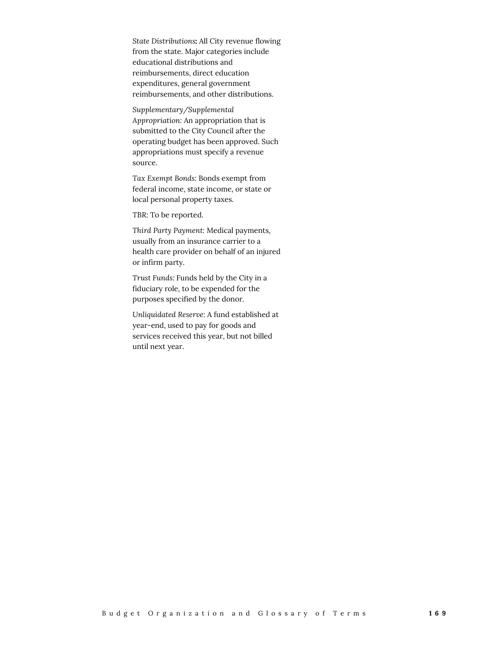*State Distributions* All City revenue flowing from the state. Major categories include educational distributions and reimbursements, direct education expenditures, general government reimbursements, and other distributions.

*Supplementary/Supplemental Appropriation:* An appropriation that is submitted to the City Council after the operating budget has been approved. Such appropriations must specify a revenue source.

*Tax Exempt Bonds:* Bonds exempt from federal income, state income, or state or local personal property taxes.

*TBR:* To be reported.

*Third Party Payment:* Medical payments, usually from an insurance carrier to a health care provider on behalf of an injured or infirm party.

*Trust Funds:* Funds held by the City in a fiduciary role, to be expended for the purposes specified by the donor.

*Unliquidated Reserve:* A fund established at year-end, used to pay for goods and services received this year, but not billed until next year.